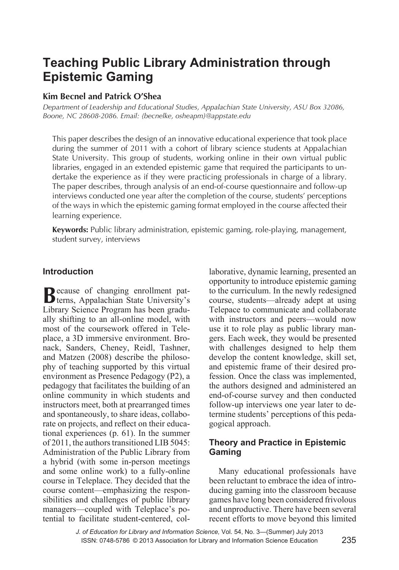# **Teaching Public Library Administration through Epistemic Gaming**

# **Kim Becnel and Patrick O'Shea**

*Department of Leadership and Educational Studies, Appalachian State University, ASU Box 32086, Boone, NC 28608-2086. Email: {becnelke, osheapm}@appstate.edu*

This paper describes the design of an innovative educational experience that took place during the summer of 2011 with a cohort of library science students at Appalachian State University. This group of students, working online in their own virtual public libraries, engaged in an extended epistemic game that required the participants to undertake the experience as if they were practicing professionals in charge of a library. The paper describes, through analysis of an end-of-course questionnaire and follow-up interviews conducted one year after the completion of the course, students' perceptions of the ways in which the epistemic gaming format employed in the course affected their learning experience.

**Keywords:** Public library administration, epistemic gaming, role-playing, management, student survey, interviews

# **Introduction**

**B**ecause of changing enrollment pat-terns, Appalachian State University's Library Science Program has been gradually shifting to an all-online model, with most of the coursework offered in Teleplace, a 3D immersive environment. Bronack, Sanders, Cheney, Reidl, Tashner, and Matzen (2008) describe the philosophy of teaching supported by this virtual environment as Presence Pedagogy (P2), a pedagogy that facilitates the building of an online community in which students and instructors meet, both at prearranged times and spontaneously, to share ideas, collaborate on projects, and reflect on their educational experiences (p. 61). In the summer of 2011, the authors transitioned LIB 5045: Administration of the Public Library from a hybrid (with some in-person meetings and some online work) to a fully-online course in Teleplace. They decided that the course content—emphasizing the responsibilities and challenges of public library managers—coupled with Teleplace's potential to facilitate student-centered, collaborative, dynamic learning, presented an opportunity to introduce epistemic gaming to the curriculum. In the newly redesigned course, students—already adept at using Telepace to communicate and collaborate with instructors and peers—would now use it to role play as public library mangers. Each week, they would be presented with challenges designed to help them develop the content knowledge, skill set, and epistemic frame of their desired profession. Once the class was implemented, the authors designed and administered an end-of-course survey and then conducted follow-up interviews one year later to determine students' perceptions of this pedagogical approach.

# **Theory and Practice in Epistemic Gaming**

Many educational professionals have been reluctant to embrace the idea of introducing gaming into the classroom because games have long been considered frivolous and unproductive. There have been several recent efforts to move beyond this limited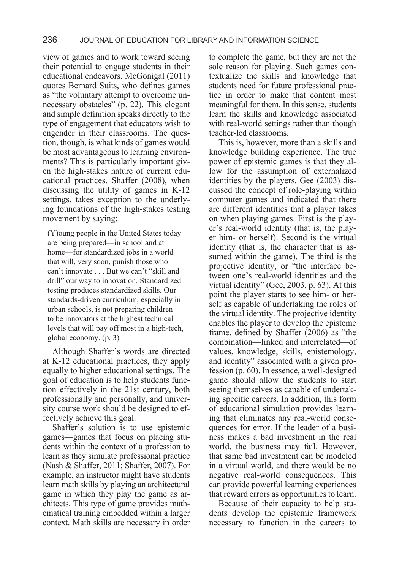view of games and to work toward seeing their potential to engage students in their educational endeavors. McGonigal (2011) quotes Bernard Suits, who defines games as "the voluntary attempt to overcome unnecessary obstacles" (p. 22). This elegant and simple definition speaks directly to the type of engagement that educators wish to engender in their classrooms. The question, though, is what kinds of games would be most advantageous to learning environments? This is particularly important given the high-stakes nature of current educational practices. Shaffer (2008), when discussing the utility of games in K-12 settings, takes exception to the underlying foundations of the high-stakes testing movement by saying:

(Y)oung people in the United States today are being prepared—in school and at home—for standardized jobs in a world that will, very soon, punish those who can't innovate . . . But we can't "skill and drill" our way to innovation. Standardized testing produces standardized skills. Our standards-driven curriculum, especially in urban schools, is not preparing children to be innovators at the highest technical levels that will pay off most in a high-tech, global economy. (p. 3)

Although Shaffer's words are directed at K-12 educational practices, they apply equally to higher educational settings. The goal of education is to help students function effectively in the 21st century, both professionally and personally, and university course work should be designed to effectively achieve this goal.

Shaffer's solution is to use epistemic games—games that focus on placing students within the context of a profession to learn as they simulate professional practice (Nash & Shaffer, 2011; Shaffer, 2007). For example, an instructor might have students learn math skills by playing an architectural game in which they play the game as architects. This type of game provides mathematical training embedded within a larger context. Math skills are necessary in order to complete the game, but they are not the sole reason for playing. Such games contextualize the skills and knowledge that students need for future professional practice in order to make that content most meaningful for them. In this sense, students learn the skills and knowledge associated with real-world settings rather than though teacher-led classrooms.

This is, however, more than a skills and knowledge building experience. The true power of epistemic games is that they allow for the assumption of externalized identities by the players. Gee (2003) discussed the concept of role-playing within computer games and indicated that there are different identities that a player takes on when playing games. First is the player's real-world identity (that is, the player him- or herself). Second is the virtual identity (that is, the character that is assumed within the game). The third is the projective identity, or "the interface between one's real-world identities and the virtual identity" (Gee, 2003, p. 63). At this point the player starts to see him- or herself as capable of undertaking the roles of the virtual identity. The projective identity enables the player to develop the episteme frame, defined by Shaffer (2006) as "the combination—linked and interrelated—of values, knowledge, skills, epistemology, and identity" associated with a given profession (p. 60). In essence, a well-designed game should allow the students to start seeing themselves as capable of undertaking specific careers. In addition, this form of educational simulation provides learning that eliminates any real-world consequences for error. If the leader of a business makes a bad investment in the real world, the business may fail. However, that same bad investment can be modeled in a virtual world, and there would be no negative real-world consequences. This can provide powerful learning experiences that reward errors as opportunities to learn.

Because of their capacity to help students develop the epistemic framework necessary to function in the careers to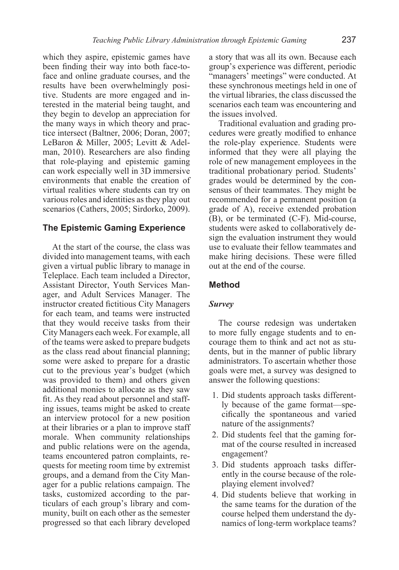which they aspire, epistemic games have been finding their way into both face-toface and online graduate courses, and the results have been overwhelmingly positive. Students are more engaged and interested in the material being taught, and they begin to develop an appreciation for the many ways in which theory and practice intersect (Baltner, 2006; Doran, 2007; LeBaron & Miller, 2005; Levitt & Adelman, 2010). Researchers are also finding that role-playing and epistemic gaming can work especially well in 3D immersive environments that enable the creation of virtual realities where students can try on various roles and identities as they play out scenarios (Cathers, 2005; Sirdorko, 2009).

#### **The Epistemic Gaming Experience**

At the start of the course, the class was divided into management teams, with each given a virtual public library to manage in Teleplace. Each team included a Director, Assistant Director, Youth Services Manager, and Adult Services Manager. The instructor created fictitious City Managers for each team, and teams were instructed that they would receive tasks from their City Managers each week. For example, all of the teams were asked to prepare budgets as the class read about financial planning; some were asked to prepare for a drastic cut to the previous year's budget (which was provided to them) and others given additional monies to allocate as they saw fit. As they read about personnel and staffing issues, teams might be asked to create an interview protocol for a new position at their libraries or a plan to improve staff morale. When community relationships and public relations were on the agenda, teams encountered patron complaints, requests for meeting room time by extremist groups, and a demand from the City Manager for a public relations campaign. The tasks, customized according to the particulars of each group's library and community, built on each other as the semester progressed so that each library developed

a story that was all its own. Because each group's experience was different, periodic "managers' meetings" were conducted. At these synchronous meetings held in one of the virtual libraries, the class discussed the scenarios each team was encountering and the issues involved.

Traditional evaluation and grading procedures were greatly modified to enhance the role-play experience. Students were informed that they were all playing the role of new management employees in the traditional probationary period. Students' grades would be determined by the consensus of their teammates. They might be recommended for a permanent position (a grade of A), receive extended probation (B), or be terminated (C-F). Mid-course, students were asked to collaboratively design the evaluation instrument they would use to evaluate their fellow teammates and make hiring decisions. These were filled out at the end of the course.

#### **Method**

#### *Survey*

The course redesign was undertaken to more fully engage students and to encourage them to think and act not as students, but in the manner of public library administrators. To ascertain whether those goals were met, a survey was designed to answer the following questions:

- 1. Did students approach tasks differently because of the game format—specifically the spontaneous and varied nature of the assignments?
- 2. Did students feel that the gaming format of the course resulted in increased engagement?
- 3. Did students approach tasks differently in the course because of the roleplaying element involved?
- 4. Did students believe that working in the same teams for the duration of the course helped them understand the dynamics of long-term workplace teams?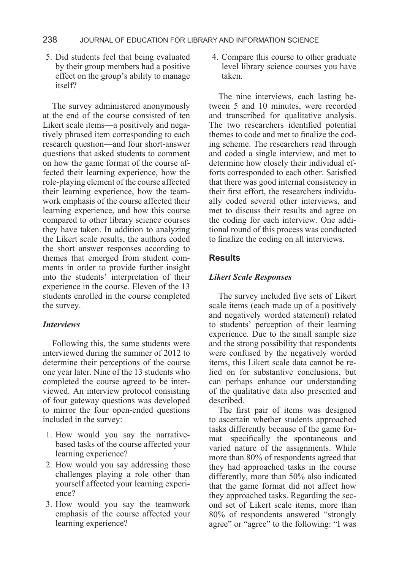5. Did students feel that being evaluated by their group members had a positive effect on the group's ability to manage itself?

The survey administered anonymously at the end of the course consisted of ten Likert scale items—a positively and negatively phrased item corresponding to each research question—and four short-answer questions that asked students to comment on how the game format of the course affected their learning experience, how the role-playing element of the course affected their learning experience, how the teamwork emphasis of the course affected their learning experience, and how this course compared to other library science courses they have taken. In addition to analyzing the Likert scale results, the authors coded the short answer responses according to themes that emerged from student comments in order to provide further insight into the students' interpretation of their experience in the course. Eleven of the 13 students enrolled in the course completed the survey.

#### *Interviews*

Following this, the same students were interviewed during the summer of 2012 to determine their perceptions of the course one year later. Nine of the 13 students who completed the course agreed to be interviewed. An interview protocol consisting of four gateway questions was developed to mirror the four open-ended questions included in the survey:

- 1. How would you say the narrativebased tasks of the course affected your learning experience?
- 2. How would you say addressing those challenges playing a role other than yourself affected your learning experience?
- 3. How would you say the teamwork emphasis of the course affected your learning experience?

4. Compare this course to other graduate level library science courses you have taken.

The nine interviews, each lasting between 5 and 10 minutes, were recorded and transcribed for qualitative analysis. The two researchers identified potential themes to code and met to finalize the coding scheme. The researchers read through and coded a single interview, and met to determine how closely their individual efforts corresponded to each other. Satisfied that there was good internal consistency in their first effort, the researchers individually coded several other interviews, and met to discuss their results and agree on the coding for each interview. One additional round of this process was conducted to finalize the coding on all interviews.

### **Results**

#### *Likert Scale Responses*

The survey included five sets of Likert scale items (each made up of a positively and negatively worded statement) related to students' perception of their learning experience. Due to the small sample size and the strong possibility that respondents were confused by the negatively worded items, this Likert scale data cannot be relied on for substantive conclusions, but can perhaps enhance our understanding of the qualitative data also presented and described.

The first pair of items was designed to ascertain whether students approached tasks differently because of the game format—specifically the spontaneous and varied nature of the assignments. While more than 80% of respondents agreed that they had approached tasks in the course differently, more than 50% also indicated that the game format did not affect how they approached tasks. Regarding the second set of Likert scale items, more than 80% of respondents answered "strongly agree" or "agree" to the following: "I was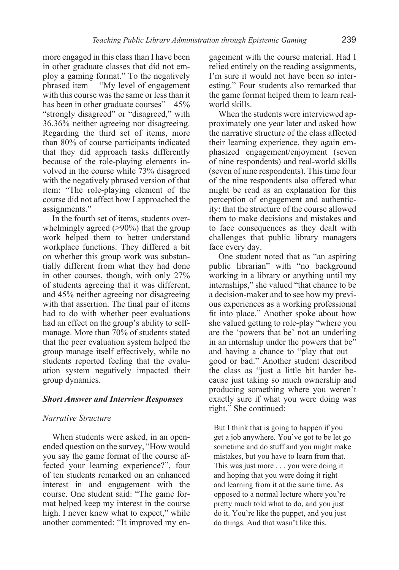more engaged in this class than I have been in other graduate classes that did not employ a gaming format." To the negatively phrased item —"My level of engagement with this course was the same or less than it has been in other graduate courses"—45% "strongly disagreed" or "disagreed," with 36.36% neither agreeing nor disagreeing. Regarding the third set of items, more than 80% of course participants indicated that they did approach tasks differently because of the role-playing elements involved in the course while 73% disagreed with the negatively phrased version of that item: "The role-playing element of the course did not affect how I approached the assignments."

In the fourth set of items, students overwhelmingly agreed ( $>90\%$ ) that the group work helped them to better understand workplace functions. They differed a bit on whether this group work was substantially different from what they had done in other courses, though, with only 27% of students agreeing that it was different, and 45% neither agreeing nor disagreeing with that assertion. The final pair of items had to do with whether peer evaluations had an effect on the group's ability to selfmanage. More than 70% of students stated that the peer evaluation system helped the group manage itself effectively, while no students reported feeling that the evaluation system negatively impacted their group dynamics.

#### *Short Answer and Interview Responses*

#### *Narrative Structure*

When students were asked, in an openended question on the survey, "How would you say the game format of the course affected your learning experience?", four of ten students remarked on an enhanced interest in and engagement with the course. One student said: "The game format helped keep my interest in the course high. I never knew what to expect," while another commented: "It improved my engagement with the course material. Had I relied entirely on the reading assignments, I'm sure it would not have been so interesting." Four students also remarked that the game format helped them to learn realworld skills.

When the students were interviewed approximately one year later and asked how the narrative structure of the class affected their learning experience, they again emphasized engagement/enjoyment (seven of nine respondents) and real-world skills (seven of nine respondents). This time four of the nine respondents also offered what might be read as an explanation for this perception of engagement and authenticity: that the structure of the course allowed them to make decisions and mistakes and to face consequences as they dealt with challenges that public library managers face every day.

One student noted that as "an aspiring public librarian" with "no background working in a library or anything until my internships," she valued "that chance to be a decision-maker and to see how my previous experiences as a working professional fit into place." Another spoke about how she valued getting to role-play "where you are the 'powers that be' not an underling in an internship under the powers that be" and having a chance to "play that out good or bad." Another student described the class as "just a little bit harder because just taking so much ownership and producing something where you weren't exactly sure if what you were doing was right." She continued:

But I think that is going to happen if you get a job anywhere. You've got to be let go sometime and do stuff and you might make mistakes, but you have to learn from that. This was just more . . . you were doing it and hoping that you were doing it right and learning from it at the same time. As opposed to a normal lecture where you're pretty much told what to do, and you just do it. You're like the puppet, and you just do things. And that wasn't like this.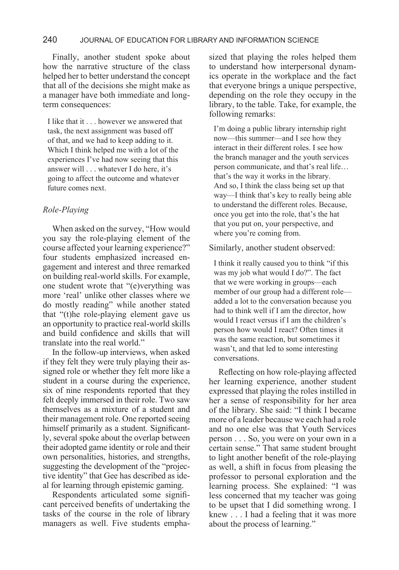#### 240 JOURNAL OF EDUCATION FOR LIBRARY AND INFORMATION SCIENCE

Finally, another student spoke about how the narrative structure of the class helped her to better understand the concept that all of the decisions she might make as a manager have both immediate and longterm consequences:

I like that it . . . however we answered that task, the next assignment was based off of that, and we had to keep adding to it. Which I think helped me with a lot of the experiences I've had now seeing that this answer will . . . whatever I do here, it's going to affect the outcome and whatever future comes next.

#### *Role-Playing*

When asked on the survey, "How would you say the role-playing element of the course affected your learning experience?" four students emphasized increased engagement and interest and three remarked on building real-world skills. For example, one student wrote that "(e)verything was more 'real' unlike other classes where we do mostly reading" while another stated that "(t)he role-playing element gave us an opportunity to practice real-world skills and build confidence and skills that will translate into the real world."

In the follow-up interviews, when asked if they felt they were truly playing their assigned role or whether they felt more like a student in a course during the experience, six of nine respondents reported that they felt deeply immersed in their role. Two saw themselves as a mixture of a student and their management role. One reported seeing himself primarily as a student. Significantly, several spoke about the overlap between their adopted game identity or role and their own personalities, histories, and strengths, suggesting the development of the "projective identity" that Gee has described as ideal for learning through epistemic gaming.

Respondents articulated some significant perceived benefits of undertaking the tasks of the course in the role of library managers as well. Five students emphasized that playing the roles helped them to understand how interpersonal dynamics operate in the workplace and the fact that everyone brings a unique perspective, depending on the role they occupy in the library, to the table. Take, for example, the following remarks:

I'm doing a public library internship right now—this summer—and I see how they interact in their different roles. I see how the branch manager and the youth services person communicate, and that's real life… that's the way it works in the library. And so, I think the class being set up that way—I think that's key to really being able to understand the different roles. Because, once you get into the role, that's the hat that you put on, your perspective, and where you're coming from.

Similarly, another student observed:

I think it really caused you to think "if this was my job what would I do?". The fact that we were working in groups—each member of our group had a different role added a lot to the conversation because you had to think well if I am the director, how would I react versus if I am the children's person how would I react? Often times it was the same reaction, but sometimes it wasn't, and that led to some interesting conversations.

Reflecting on how role-playing affected her learning experience, another student expressed that playing the roles instilled in her a sense of responsibility for her area of the library. She said: "I think I became more of a leader because we each had a role and no one else was that Youth Services person . . . So, you were on your own in a certain sense." That same student brought to light another benefit of the role-playing as well, a shift in focus from pleasing the professor to personal exploration and the learning process. She explained: "I was less concerned that my teacher was going to be upset that I did something wrong. I knew . . . I had a feeling that it was more about the process of learning."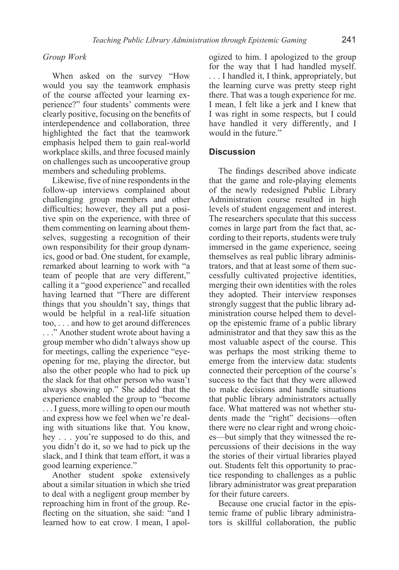#### *Group Work*

When asked on the survey "How would you say the teamwork emphasis of the course affected your learning experience?" four students' comments were clearly positive, focusing on the benefits of interdependence and collaboration, three highlighted the fact that the teamwork emphasis helped them to gain real-world workplace skills, and three focused mainly on challenges such as uncooperative group members and scheduling problems.

Likewise, five of nine respondents in the follow-up interviews complained about challenging group members and other difficulties; however, they all put a positive spin on the experience, with three of them commenting on learning about themselves, suggesting a recognition of their own responsibility for their group dynamics, good or bad. One student, for example, remarked about learning to work with "a team of people that are very different," calling it a "good experience" and recalled having learned that "There are different things that you shouldn't say, things that would be helpful in a real-life situation too, . . . and how to get around differences . . ." Another student wrote about having a group member who didn't always show up for meetings, calling the experience "eyeopening for me, playing the director, but also the other people who had to pick up the slack for that other person who wasn't always showing up." She added that the experience enabled the group to "become . . . I guess, more willing to open our mouth and express how we feel when we're dealing with situations like that. You know, hey . . . you're supposed to do this, and you didn't do it, so we had to pick up the slack, and I think that team effort, it was a good learning experience."

Another student spoke extensively about a similar situation in which she tried to deal with a negligent group member by reproaching him in front of the group. Reflecting on the situation, she said: "and I learned how to eat crow. I mean, I apologized to him. I apologized to the group for the way that I had handled myself. . . . I handled it, I think, appropriately, but the learning curve was pretty steep right there. That was a tough experience for me. I mean, I felt like a jerk and I knew that I was right in some respects, but I could have handled it very differently, and I would in the future."

#### **Discussion**

The findings described above indicate that the game and role-playing elements of the newly redesigned Public Library Administration course resulted in high levels of student engagement and interest. The researchers speculate that this success comes in large part from the fact that, according to their reports, students were truly immersed in the game experience, seeing themselves as real public library administrators, and that at least some of them successfully cultivated projective identities, merging their own identities with the roles they adopted. Their interview responses strongly suggest that the public library administration course helped them to develop the epistemic frame of a public library administrator and that they saw this as the most valuable aspect of the course. This was perhaps the most striking theme to emerge from the interview data: students connected their perception of the course's success to the fact that they were allowed to make decisions and handle situations that public library administrators actually face. What mattered was not whether students made the "right" decisions—often there were no clear right and wrong choices—but simply that they witnessed the repercussions of their decisions in the way the stories of their virtual libraries played out. Students felt this opportunity to practice responding to challenges as a public library administrator was great preparation for their future careers.

Because one crucial factor in the epistemic frame of public library administrators is skillful collaboration, the public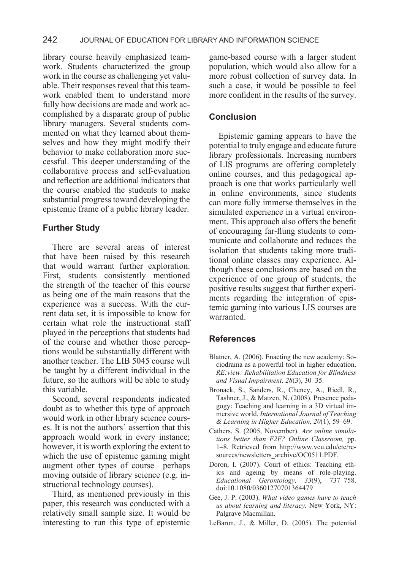library course heavily emphasized teamwork. Students characterized the group work in the course as challenging yet valuable. Their responses reveal that this teamwork enabled them to understand more fully how decisions are made and work accomplished by a disparate group of public library managers. Several students commented on what they learned about themselves and how they might modify their behavior to make collaboration more successful. This deeper understanding of the collaborative process and self-evaluation and reflection are additional indicators that the course enabled the students to make substantial progress toward developing the epistemic frame of a public library leader.

# **Further Study**

There are several areas of interest that have been raised by this research that would warrant further exploration. First, students consistently mentioned the strength of the teacher of this course as being one of the main reasons that the experience was a success. With the current data set, it is impossible to know for certain what role the instructional staff played in the perceptions that students had of the course and whether those perceptions would be substantially different with another teacher. The LIB 5045 course will be taught by a different individual in the future, so the authors will be able to study this variable.

Second, several respondents indicated doubt as to whether this type of approach would work in other library science courses. It is not the authors' assertion that this approach would work in every instance; however, it is worth exploring the extent to which the use of epistemic gaming might augment other types of course—perhaps moving outside of library science (e.g. instructional technology courses).

Third, as mentioned previously in this paper, this research was conducted with a relatively small sample size. It would be interesting to run this type of epistemic game-based course with a larger student population, which would also allow for a more robust collection of survey data. In such a case, it would be possible to feel more confident in the results of the survey.

## **Conclusion**

Epistemic gaming appears to have the potential to truly engage and educate future library professionals. Increasing numbers of LIS programs are offering completely online courses, and this pedagogical approach is one that works particularly well in online environments, since students can more fully immerse themselves in the simulated experience in a virtual environment. This approach also offers the benefit of encouraging far-flung students to communicate and collaborate and reduces the isolation that students taking more traditional online classes may experience. Although these conclusions are based on the experience of one group of students, the positive results suggest that further experiments regarding the integration of epistemic gaming into various LIS courses are warranted.

## **References**

- Blatner, A. (2006). Enacting the new academy: Sociodrama as a powerful tool in higher education. *RE:view: Rehabilitation Education for Blindness and Visual Impairment, 28*(3), 30–35.
- Bronack, S., Sanders, R., Cheney, A., Riedl, R., Tashner, J., & Matzen, N. (2008). Presence pedagogy: Teaching and learning in a 3D virtual immersive world. *International Journal of Teaching & Learning in Higher Education, 20*(1), 59–69.
- Cathers, S. (2005, November). *Are online simulations better than F2F? Online Classroom,* pp. 1–8. Retrieved from http://www.vcu.edu/cte/resources/newsletters\_archive/OC0511.PDF.
- Doron, I. (2007). Court of ethics: Teaching ethics and ageing by means of role-playing. *Educational Gerontology, 33*(9), 737–758. doi:10.1080/03601270701364479
- Gee, J. P. (2003). *What video games have to teach us about learning and literacy.* New York, NY: Palgrave Macmillan.
- LeBaron, J., & Miller, D. (2005). The potential